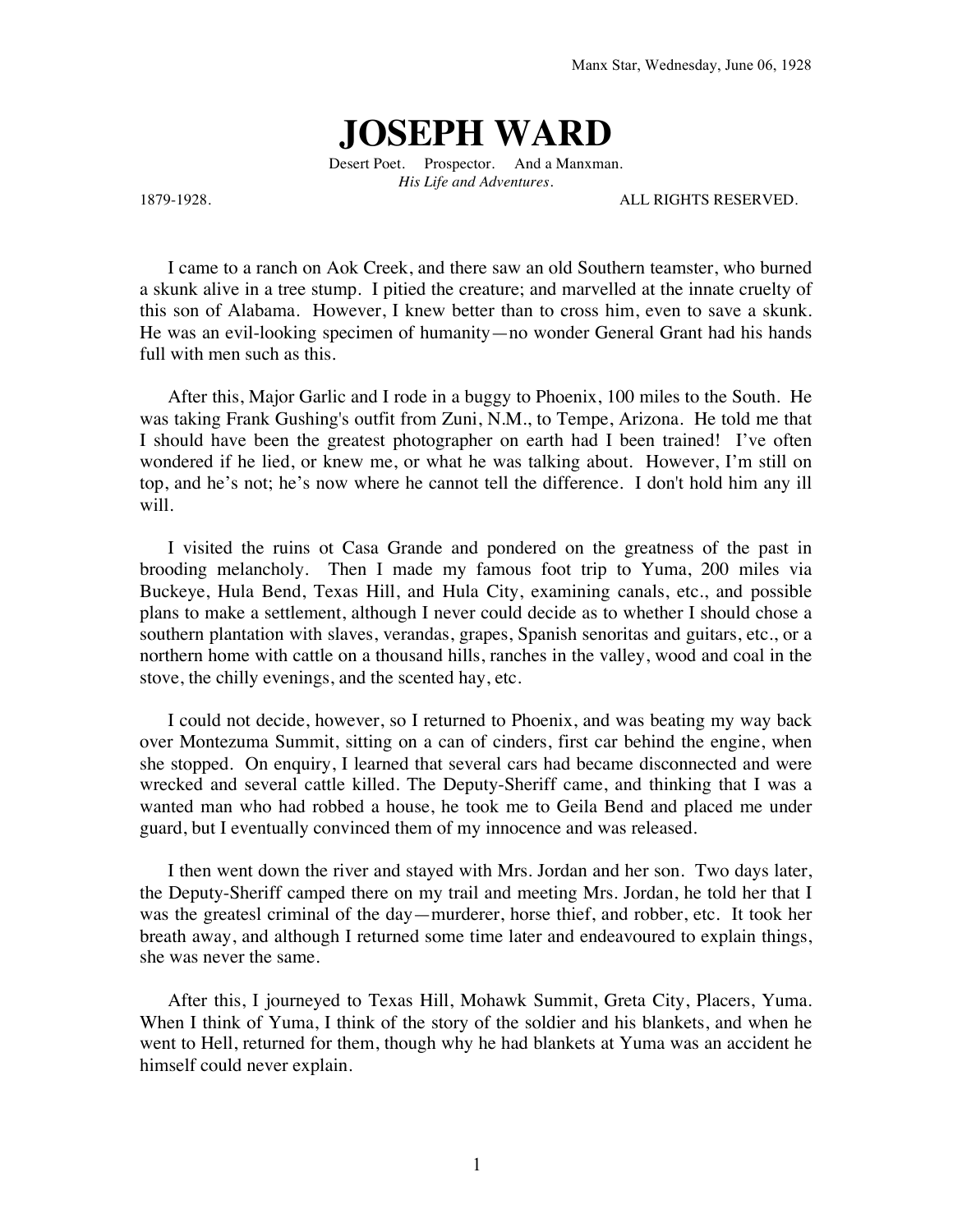## **JOSEPH WARD**

Desert Poet. Prospector. And a Manxman. *His Life and Adventures.*

1879-1928. ALL RIGHTS RESERVED.

I came to a ranch on Aok Creek, and there saw an old Southern teamster, who burned a skunk alive in a tree stump. I pitied the creature; and marvelled at the innate cruelty of this son of Alabama. However, I knew better than to cross him, even to save a skunk. He was an evil-looking specimen of humanity—no wonder General Grant had his hands full with men such as this.

After this, Major Garlic and I rode in a buggy to Phoenix, 100 miles to the South. He was taking Frank Gushing's outfit from Zuni, N.M., to Tempe, Arizona. He told me that I should have been the greatest photographer on earth had I been trained! I've often wondered if he lied, or knew me, or what he was talking about. However, I'm still on top, and he's not; he's now where he cannot tell the difference. I don't hold him any ill will.

I visited the ruins ot Casa Grande and pondered on the greatness of the past in brooding melancholy. Then I made my famous foot trip to Yuma, 200 miles via Buckeye, Hula Bend, Texas Hill, and Hula City, examining canals, etc., and possible plans to make a settlement, although I never could decide as to whether I should chose a southern plantation with slaves, verandas, grapes, Spanish senoritas and guitars, etc., or a northern home with cattle on a thousand hills, ranches in the valley, wood and coal in the stove, the chilly evenings, and the scented hay, etc.

I could not decide, however, so I returned to Phoenix, and was beating my way back over Montezuma Summit, sitting on a can of cinders, first car behind the engine, when she stopped. On enquiry, I learned that several cars had became disconnected and were wrecked and several cattle killed. The Deputy-Sheriff came, and thinking that I was a wanted man who had robbed a house, he took me to Geila Bend and placed me under guard, but I eventually convinced them of my innocence and was released.

I then went down the river and stayed with Mrs. Jordan and her son. Two days later, the Deputy-Sheriff camped there on my trail and meeting Mrs. Jordan, he told her that I was the greatesl criminal of the day—murderer, horse thief, and robber, etc. It took her breath away, and although I returned some time later and endeavoured to explain things, she was never the same.

After this, I journeyed to Texas Hill, Mohawk Summit, Greta City, Placers, Yuma. When I think of Yuma, I think of the story of the soldier and his blankets, and when he went to Hell, returned for them, though why he had blankets at Yuma was an accident he himself could never explain.

1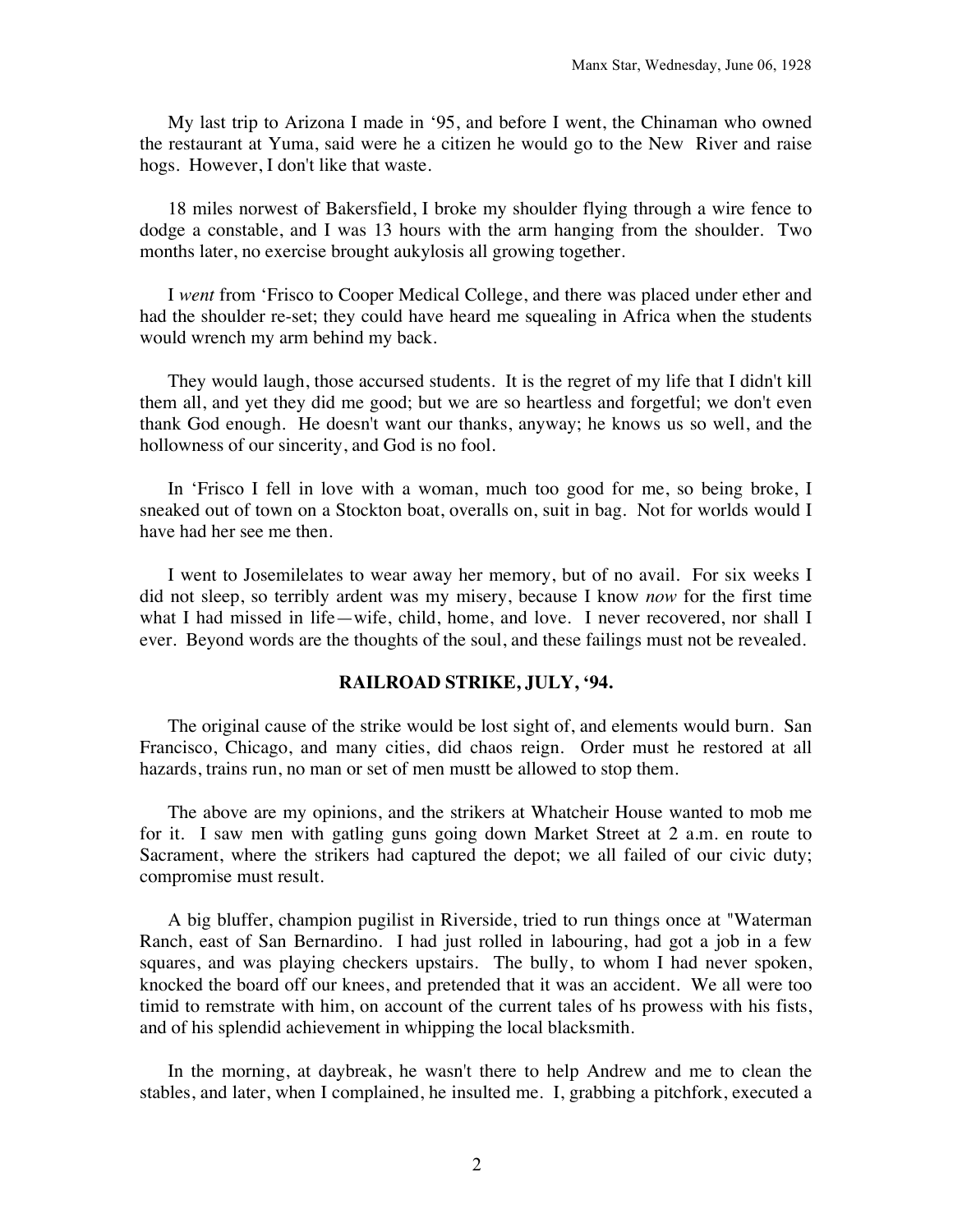My last trip to Arizona I made in '95, and before I went, the Chinaman who owned the restaurant at Yuma, said were he a citizen he would go to the New River and raise hogs. However, I don't like that waste.

18 miles norwest of Bakersfield, I broke my shoulder flying through a wire fence to dodge a constable, and I was 13 hours with the arm hanging from the shoulder. Two months later, no exercise brought aukylosis all growing together.

I *went* from 'Frisco to Cooper Medical College, and there was placed under ether and had the shoulder re-set; they could have heard me squealing in Africa when the students would wrench my arm behind my back.

They would laugh, those accursed students. It is the regret of my life that I didn't kill them all, and yet they did me good; but we are so heartless and forgetful; we don't even thank God enough. He doesn't want our thanks, anyway; he knows us so well, and the hollowness of our sincerity, and God is no fool.

In 'Frisco I fell in love with a woman, much too good for me, so being broke, I sneaked out of town on a Stockton boat, overalls on, suit in bag. Not for worlds would I have had her see me then.

I went to Josemilelates to wear away her memory, but of no avail. For six weeks I did not sleep, so terribly ardent was my misery, because I know *now* for the first time what I had missed in life—wife, child, home, and love. I never recovered, nor shall I ever. Beyond words are the thoughts of the soul, and these failings must not be revealed.

## **RAILROAD STRIKE, JULY, '94.**

The original cause of the strike would be lost sight of, and elements would burn. San Francisco, Chicago, and many cities, did chaos reign. Order must he restored at all hazards, trains run, no man or set of men mustt be allowed to stop them.

The above are my opinions, and the strikers at Whatcheir House wanted to mob me for it. I saw men with gatling guns going down Market Street at 2 a.m. en route to Sacrament, where the strikers had captured the depot; we all failed of our civic duty; compromise must result.

A big bluffer, champion pugilist in Riverside, tried to run things once at "Waterman Ranch, east of San Bernardino. I had just rolled in labouring, had got a job in a few squares, and was playing checkers upstairs. The bully, to whom I had never spoken, knocked the board off our knees, and pretended that it was an accident. We all were too timid to remstrate with him, on account of the current tales of hs prowess with his fists, and of his splendid achievement in whipping the local blacksmith.

In the morning, at daybreak, he wasn't there to help Andrew and me to clean the stables, and later, when I complained, he insulted me. I, grabbing a pitchfork, executed a